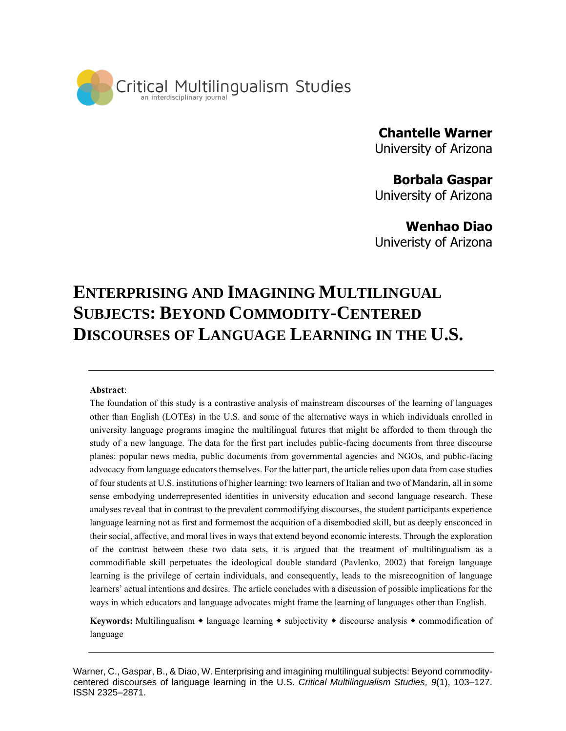

# **Chantelle Warner**

University of Arizona

# **Borbala Gaspar**

University of Arizona

## **Wenhao Diao**

Univeristy of Arizona

# **ENTERPRISING AND IMAGINING MULTILINGUAL SUBJECTS: BEYOND COMMODITY-CENTERED DISCOURSES OF LANGUAGE LEARNING IN THE U.S.**

#### **Abstract**:

The foundation of this study is a contrastive analysis of mainstream discourses of the learning of languages other than English (LOTEs) in the U.S. and some of the alternative ways in which individuals enrolled in university language programs imagine the multilingual futures that might be afforded to them through the study of a new language. The data for the first part includes public-facing documents from three discourse planes: popular news media, public documents from governmental agencies and NGOs, and public-facing advocacy from language educators themselves. For the latter part, the article relies upon data from case studies of four students at U.S. institutions of higher learning: two learners of Italian and two of Mandarin, all in some sense embodying underrepresented identities in university education and second language research. These analyses reveal that in contrast to the prevalent commodifying discourses, the student participants experience language learning not as first and formemost the acquition of a disembodied skill, but as deeply ensconced in their social, affective, and moral lives in ways that extend beyond economic interests. Through the exploration of the contrast between these two data sets, it is argued that the treatment of multilingualism as a commodifiable skill perpetuates the ideological double standard (Pavlenko, 2002) that foreign language learning is the privilege of certain individuals, and consequently, leads to the misrecognition of language learners' actual intentions and desires. The article concludes with a discussion of possible implications for the ways in which educators and language advocates might frame the learning of languages other than English.

**Keywords:** Multilingualism  $\bullet$  language learning  $\bullet$  subjectivity  $\bullet$  discourse analysis  $\bullet$  commodification of language

Warner, C., Gaspar, B., & Diao, W. Enterprising and imagining multilingual subjects: Beyond commoditycentered discourses of language learning in the U.S. *Critical Multilingualism Studies, 9*(1), 103–127. ISSN 2325–2871.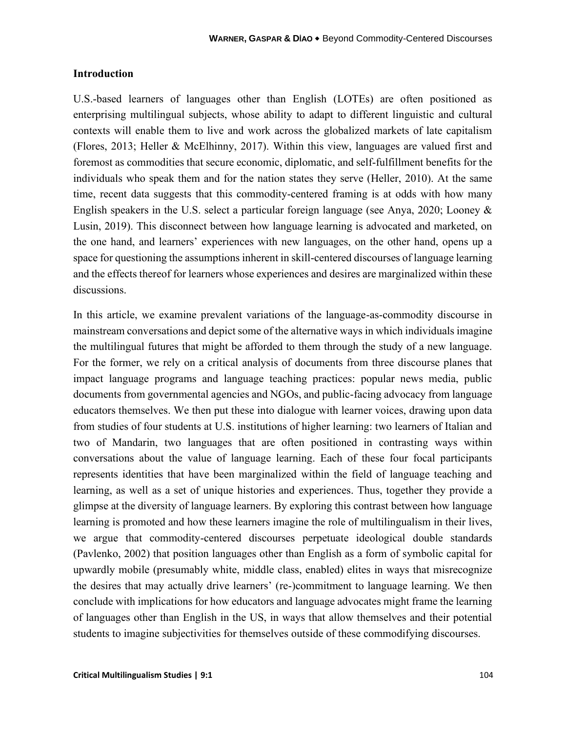#### **Introduction**

U.S.-based learners of languages other than English (LOTEs) are often positioned as enterprising multilingual subjects, whose ability to adapt to different linguistic and cultural contexts will enable them to live and work across the globalized markets of late capitalism (Flores, 2013; Heller & McElhinny, 2017). Within this view, languages are valued first and foremost as commodities that secure economic, diplomatic, and self-fulfillment benefits for the individuals who speak them and for the nation states they serve (Heller, 2010). At the same time, recent data suggests that this commodity-centered framing is at odds with how many English speakers in the U.S. select a particular foreign language (see Anya, 2020; Looney & Lusin, 2019). This disconnect between how language learning is advocated and marketed, on the one hand, and learners' experiences with new languages, on the other hand, opens up a space for questioning the assumptions inherent in skill-centered discourses of language learning and the effects thereof for learners whose experiences and desires are marginalized within these discussions.

In this article, we examine prevalent variations of the language-as-commodity discourse in mainstream conversations and depict some of the alternative ways in which individuals imagine the multilingual futures that might be afforded to them through the study of a new language. For the former, we rely on a critical analysis of documents from three discourse planes that impact language programs and language teaching practices: popular news media, public documents from governmental agencies and NGOs, and public-facing advocacy from language educators themselves. We then put these into dialogue with learner voices, drawing upon data from studies of four students at U.S. institutions of higher learning: two learners of Italian and two of Mandarin, two languages that are often positioned in contrasting ways within conversations about the value of language learning. Each of these four focal participants represents identities that have been marginalized within the field of language teaching and learning, as well as a set of unique histories and experiences. Thus, together they provide a glimpse at the diversity of language learners. By exploring this contrast between how language learning is promoted and how these learners imagine the role of multilingualism in their lives, we argue that commodity-centered discourses perpetuate ideological double standards (Pavlenko, 2002) that position languages other than English as a form of symbolic capital for upwardly mobile (presumably white, middle class, enabled) elites in ways that misrecognize the desires that may actually drive learners' (re-)commitment to language learning. We then conclude with implications for how educators and language advocates might frame the learning of languages other than English in the US, in ways that allow themselves and their potential students to imagine subjectivities for themselves outside of these commodifying discourses.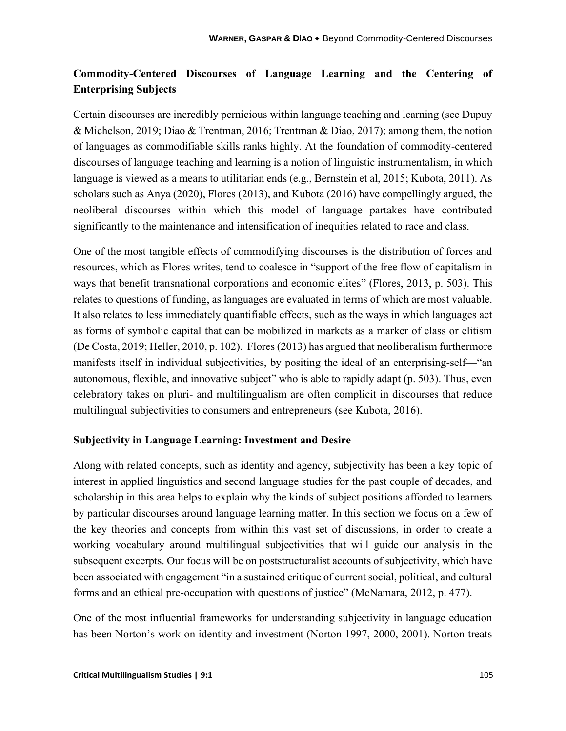## **Commodity-Centered Discourses of Language Learning and the Centering of Enterprising Subjects**

Certain discourses are incredibly pernicious within language teaching and learning (see Dupuy & Michelson, 2019; Diao & Trentman, 2016; Trentman & Diao, 2017); among them, the notion of languages as commodifiable skills ranks highly. At the foundation of commodity-centered discourses of language teaching and learning is a notion of linguistic instrumentalism, in which language is viewed as a means to utilitarian ends (e.g., Bernstein et al, 2015; Kubota, 2011). As scholars such as Anya (2020), Flores (2013), and Kubota (2016) have compellingly argued, the neoliberal discourses within which this model of language partakes have contributed significantly to the maintenance and intensification of inequities related to race and class.

One of the most tangible effects of commodifying discourses is the distribution of forces and resources, which as Flores writes, tend to coalesce in "support of the free flow of capitalism in ways that benefit transnational corporations and economic elites" (Flores, 2013, p. 503). This relates to questions of funding, as languages are evaluated in terms of which are most valuable. It also relates to less immediately quantifiable effects, such as the ways in which languages act as forms of symbolic capital that can be mobilized in markets as a marker of class or elitism (De Costa, 2019; Heller, 2010, p. 102). Flores (2013) has argued that neoliberalism furthermore manifests itself in individual subjectivities, by positing the ideal of an enterprising-self—"an autonomous, flexible, and innovative subject" who is able to rapidly adapt (p. 503). Thus, even celebratory takes on pluri- and multilingualism are often complicit in discourses that reduce multilingual subjectivities to consumers and entrepreneurs (see Kubota, 2016).

## **Subjectivity in Language Learning: Investment and Desire**

Along with related concepts, such as identity and agency, subjectivity has been a key topic of interest in applied linguistics and second language studies for the past couple of decades, and scholarship in this area helps to explain why the kinds of subject positions afforded to learners by particular discourses around language learning matter. In this section we focus on a few of the key theories and concepts from within this vast set of discussions, in order to create a working vocabulary around multilingual subjectivities that will guide our analysis in the subsequent excerpts. Our focus will be on poststructuralist accounts of subjectivity, which have been associated with engagement "in a sustained critique of current social, political, and cultural forms and an ethical pre-occupation with questions of justice" (McNamara, 2012, p. 477).

One of the most influential frameworks for understanding subjectivity in language education has been Norton's work on identity and investment (Norton 1997, 2000, 2001). Norton treats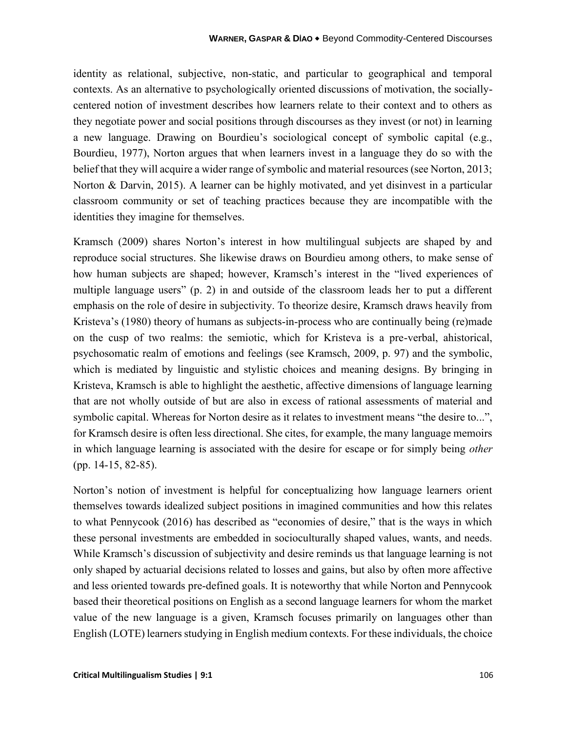identity as relational, subjective, non-static, and particular to geographical and temporal contexts. As an alternative to psychologically oriented discussions of motivation, the sociallycentered notion of investment describes how learners relate to their context and to others as they negotiate power and social positions through discourses as they invest (or not) in learning a new language. Drawing on Bourdieu's sociological concept of symbolic capital (e.g., Bourdieu, 1977), Norton argues that when learners invest in a language they do so with the belief that they will acquire a wider range of symbolic and material resources (see Norton, 2013; Norton & Darvin, 2015). A learner can be highly motivated, and yet disinvest in a particular classroom community or set of teaching practices because they are incompatible with the identities they imagine for themselves.

Kramsch (2009) shares Norton's interest in how multilingual subjects are shaped by and reproduce social structures. She likewise draws on Bourdieu among others, to make sense of how human subjects are shaped; however, Kramsch's interest in the "lived experiences of multiple language users" (p. 2) in and outside of the classroom leads her to put a different emphasis on the role of desire in subjectivity. To theorize desire, Kramsch draws heavily from Kristeva's (1980) theory of humans as subjects-in-process who are continually being (re)made on the cusp of two realms: the semiotic, which for Kristeva is a pre-verbal, ahistorical, psychosomatic realm of emotions and feelings (see Kramsch, 2009, p. 97) and the symbolic, which is mediated by linguistic and stylistic choices and meaning designs. By bringing in Kristeva, Kramsch is able to highlight the aesthetic, affective dimensions of language learning that are not wholly outside of but are also in excess of rational assessments of material and symbolic capital. Whereas for Norton desire as it relates to investment means "the desire to...", for Kramsch desire is often less directional. She cites, for example, the many language memoirs in which language learning is associated with the desire for escape or for simply being *other*  (pp. 14-15, 82-85).

Norton's notion of investment is helpful for conceptualizing how language learners orient themselves towards idealized subject positions in imagined communities and how this relates to what Pennycook (2016) has described as "economies of desire," that is the ways in which these personal investments are embedded in socioculturally shaped values, wants, and needs. While Kramsch's discussion of subjectivity and desire reminds us that language learning is not only shaped by actuarial decisions related to losses and gains, but also by often more affective and less oriented towards pre-defined goals. It is noteworthy that while Norton and Pennycook based their theoretical positions on English as a second language learners for whom the market value of the new language is a given, Kramsch focuses primarily on languages other than English (LOTE) learners studying in English medium contexts. For these individuals, the choice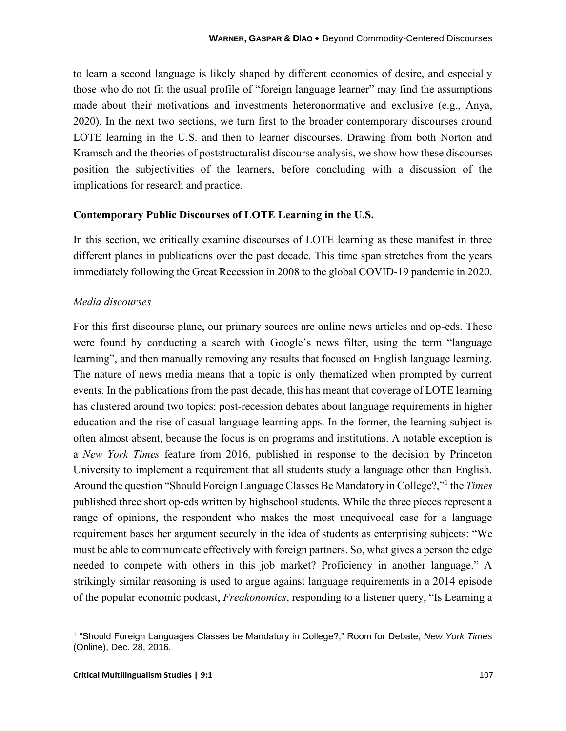to learn a second language is likely shaped by different economies of desire, and especially those who do not fit the usual profile of "foreign language learner" may find the assumptions made about their motivations and investments heteronormative and exclusive (e.g., Anya, 2020). In the next two sections, we turn first to the broader contemporary discourses around LOTE learning in the U.S. and then to learner discourses. Drawing from both Norton and Kramsch and the theories of poststructuralist discourse analysis, we show how these discourses position the subjectivities of the learners, before concluding with a discussion of the implications for research and practice.

#### **Contemporary Public Discourses of LOTE Learning in the U.S.**

In this section, we critically examine discourses of LOTE learning as these manifest in three different planes in publications over the past decade. This time span stretches from the years immediately following the Great Recession in 2008 to the global COVID-19 pandemic in 2020.

#### *Media discourses*

For this first discourse plane, our primary sources are online news articles and op-eds. These were found by conducting a search with Google's news filter, using the term "language learning", and then manually removing any results that focused on English language learning. The nature of news media means that a topic is only thematized when prompted by current events. In the publications from the past decade, this has meant that coverage of LOTE learning has clustered around two topics: post-recession debates about language requirements in higher education and the rise of casual language learning apps. In the former, the learning subject is often almost absent, because the focus is on programs and institutions. A notable exception is a *New York Times* feature from 2016, published in response to the decision by Princeton University to implement a requirement that all students study a language other than English. Around the question "Should Foreign Language Classes Be Mandatory in College?,"<sup>1</sup> the *Times*  published three short op-eds written by highschool students. While the three pieces represent a range of opinions, the respondent who makes the most unequivocal case for a language requirement bases her argument securely in the idea of students as enterprising subjects: "We must be able to communicate effectively with foreign partners. So, what gives a person the edge needed to compete with others in this job market? Proficiency in another language." A strikingly similar reasoning is used to argue against language requirements in a 2014 episode of the popular economic podcast, *Freakonomics*, responding to a listener query, "Is Learning a

<sup>1</sup> "Should Foreign Languages Classes be Mandatory in College?," Room for Debate, *New York Times* (Online), Dec. 28, 2016.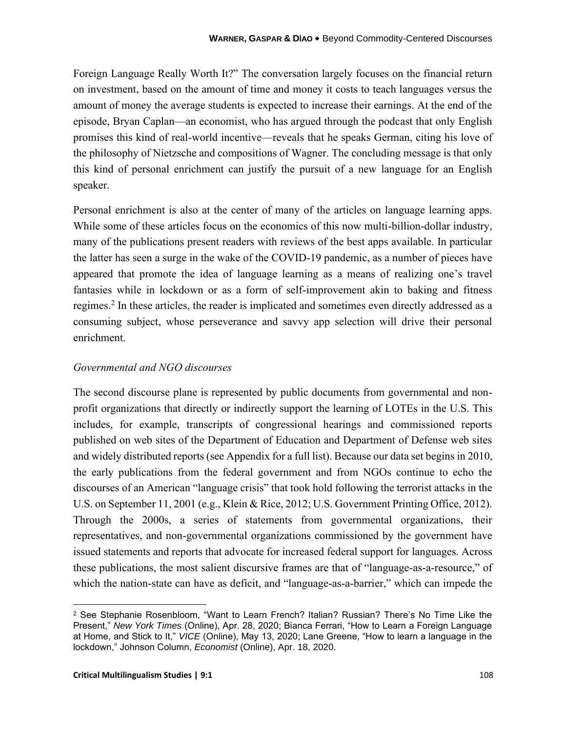Foreign Language Really Worth It?" The conversation largely focuses on the financial return on investment, based on the amount of time and money it costs to teach languages versus the amount of money the average students is expected to increase their earnings. At the end of the episode, Bryan Caplan—an economist, who has argued through the podcast that only English promises this kind of real-world incentive—reveals that he speaks German, citing his love of the philosophy of Nietzsche and compositions of Wagner. The concluding message is that only this kind of personal enrichment can justify the pursuit of a new language for an English speaker.

Personal enrichment is also at the center of many of the articles on language learning apps. While some of these articles focus on the economics of this now multi-billion-dollar industry, many of the publications present readers with reviews of the best apps available. In particular the latter has seen a surge in the wake of the COVID-19 pandemic, as a number of pieces have appeared that promote the idea of language learning as a means of realizing one's travel fantasies while in lockdown or as a form of self-improvement akin to baking and fitness regimes.<sup>2</sup> In these articles, the reader is implicated and sometimes even directly addressed as a consuming subject, whose perseverance and savvy app selection will drive their personal enrichment.

## *Governmental and NGO discourses*

The second discourse plane is represented by public documents from governmental and nonprofit organizations that directly or indirectly support the learning of LOTEs in the U.S. This includes, for example, transcripts of congressional hearings and commissioned reports published on web sites of the Department of Education and Department of Defense web sites and widely distributed reports (see Appendix for a full list). Because our data set begins in 2010, the early publications from the federal government and from NGOs continue to echo the discourses of an American "language crisis" that took hold following the terrorist attacks in the U.S. on September 11, 2001 (e.g., Klein & Rice, 2012; U.S. Government Printing Office, 2012). Through the 2000s, a series of statements from governmental organizations, their representatives, and non-governmental organizations commissioned by the government have issued statements and reports that advocate for increased federal support for languages. Across these publications, the most salient discursive frames are that of "language-as-a-resource," of which the nation-state can have as deficit, and "language-as-a-barrier," which can impede the

<sup>2</sup> See Stephanie Rosenbloom, "Want to Learn French? Italian? Russian? There's No Time Like the Present," *New York Times* (Online), Apr. 28, 2020; Bianca Ferrari, "How to Learn a Foreign Language at Home, and Stick to It," *VICE* (Online), May 13, 2020; Lane Greene, "How to learn a language in the lockdown," Johnson Column, *Economist* (Online), Apr. 18, 2020.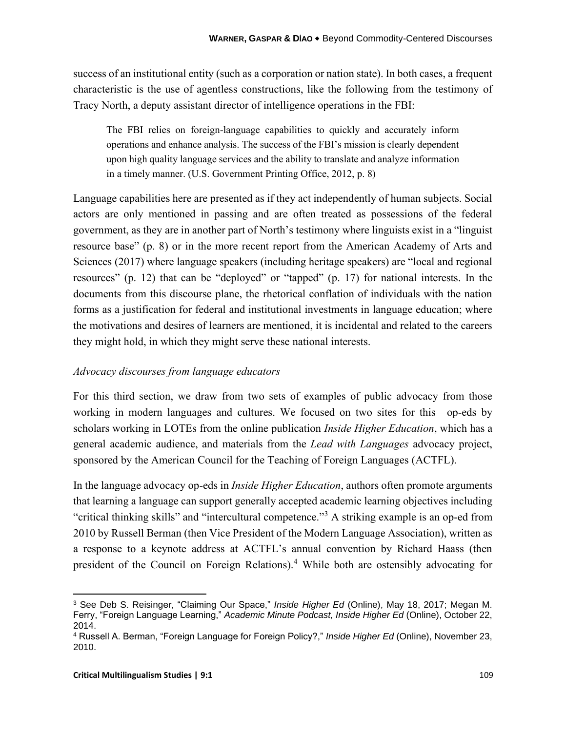success of an institutional entity (such as a corporation or nation state). In both cases, a frequent characteristic is the use of agentless constructions, like the following from the testimony of Tracy North, a deputy assistant director of intelligence operations in the FBI:

The FBI relies on foreign-language capabilities to quickly and accurately inform operations and enhance analysis. The success of the FBI's mission is clearly dependent upon high quality language services and the ability to translate and analyze information in a timely manner. (U.S. Government Printing Office, 2012, p. 8)

Language capabilities here are presented as if they act independently of human subjects. Social actors are only mentioned in passing and are often treated as possessions of the federal government, as they are in another part of North's testimony where linguists exist in a "linguist resource base" (p. 8) or in the more recent report from the American Academy of Arts and Sciences (2017) where language speakers (including heritage speakers) are "local and regional resources" (p. 12) that can be "deployed" or "tapped" (p. 17) for national interests. In the documents from this discourse plane, the rhetorical conflation of individuals with the nation forms as a justification for federal and institutional investments in language education; where the motivations and desires of learners are mentioned, it is incidental and related to the careers they might hold, in which they might serve these national interests.

## *Advocacy discourses from language educators*

For this third section, we draw from two sets of examples of public advocacy from those working in modern languages and cultures. We focused on two sites for this—op-eds by scholars working in LOTEs from the online publication *Inside Higher Education*, which has a general academic audience, and materials from the *Lead with Languages* advocacy project, sponsored by the American Council for the Teaching of Foreign Languages (ACTFL).

In the language advocacy op-eds in *Inside Higher Education*, authors often promote arguments that learning a language can support generally accepted academic learning objectives including "critical thinking skills" and "intercultural competence."<sup>3</sup> A striking example is an op-ed from 2010 by Russell Berman (then Vice President of the Modern Language Association), written as a response to a keynote address at ACTFL's annual convention by Richard Haass (then president of the Council on Foreign Relations).<sup>4</sup> While both are ostensibly advocating for

<sup>3</sup> See Deb S. Reisinger, "Claiming Our Space," *Inside Higher Ed* (Online), May 18, 2017; Megan M. Ferry, "Foreign Language Learning," *Academic Minute Podcast, Inside Higher Ed* (Online), October 22, 2014.

<sup>4</sup> Russell A. Berman, "Foreign Language for Foreign Policy?," *Inside Higher Ed* (Online), November 23, 2010.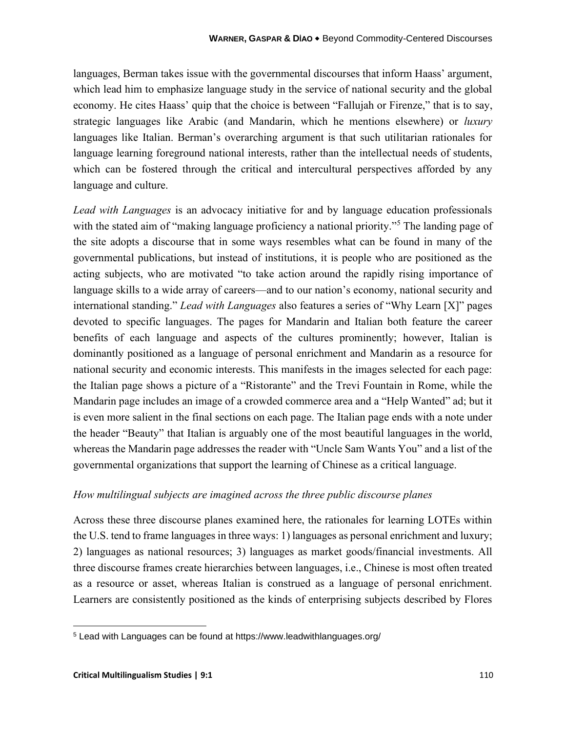languages, Berman takes issue with the governmental discourses that inform Haass' argument, which lead him to emphasize language study in the service of national security and the global economy. He cites Haass' quip that the choice is between "Fallujah or Firenze," that is to say, strategic languages like Arabic (and Mandarin, which he mentions elsewhere) or *luxury* languages like Italian. Berman's overarching argument is that such utilitarian rationales for language learning foreground national interests, rather than the intellectual needs of students, which can be fostered through the critical and intercultural perspectives afforded by any language and culture.

*Lead with Languages* is an advocacy initiative for and by language education professionals with the stated aim of "making language proficiency a national priority."<sup>5</sup> The landing page of the site adopts a discourse that in some ways resembles what can be found in many of the governmental publications, but instead of institutions, it is people who are positioned as the acting subjects, who are motivated "to take action around the rapidly rising importance of language skills to a wide array of careers—and to our nation's economy, national security and international standing." *Lead with Languages* also features a series of "Why Learn [X]" pages devoted to specific languages. The pages for Mandarin and Italian both feature the career benefits of each language and aspects of the cultures prominently; however, Italian is dominantly positioned as a language of personal enrichment and Mandarin as a resource for national security and economic interests. This manifests in the images selected for each page: the Italian page shows a picture of a "Ristorante" and the Trevi Fountain in Rome, while the Mandarin page includes an image of a crowded commerce area and a "Help Wanted" ad; but it is even more salient in the final sections on each page. The Italian page ends with a note under the header "Beauty" that Italian is arguably one of the most beautiful languages in the world, whereas the Mandarin page addresses the reader with "Uncle Sam Wants You" and a list of the governmental organizations that support the learning of Chinese as a critical language.

#### *How multilingual subjects are imagined across the three public discourse planes*

Across these three discourse planes examined here, the rationales for learning LOTEs within the U.S. tend to frame languages in three ways: 1) languages as personal enrichment and luxury; 2) languages as national resources; 3) languages as market goods/financial investments. All three discourse frames create hierarchies between languages, i.e., Chinese is most often treated as a resource or asset, whereas Italian is construed as a language of personal enrichment. Learners are consistently positioned as the kinds of enterprising subjects described by Flores

<sup>5</sup> Lead with Languages can be found at https://www.leadwithlanguages.org/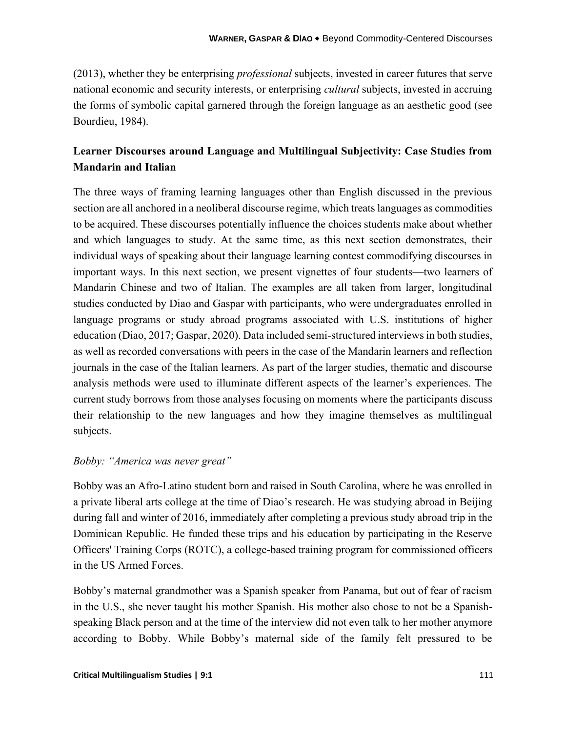(2013), whether they be enterprising *professional* subjects, invested in career futures that serve national economic and security interests, or enterprising *cultural* subjects, invested in accruing the forms of symbolic capital garnered through the foreign language as an aesthetic good (see Bourdieu, 1984).

## **Learner Discourses around Language and Multilingual Subjectivity: Case Studies from Mandarin and Italian**

The three ways of framing learning languages other than English discussed in the previous section are all anchored in a neoliberal discourse regime, which treats languages as commodities to be acquired. These discourses potentially influence the choices students make about whether and which languages to study. At the same time, as this next section demonstrates, their individual ways of speaking about their language learning contest commodifying discourses in important ways. In this next section, we present vignettes of four students—two learners of Mandarin Chinese and two of Italian. The examples are all taken from larger, longitudinal studies conducted by Diao and Gaspar with participants, who were undergraduates enrolled in language programs or study abroad programs associated with U.S. institutions of higher education (Diao, 2017; Gaspar, 2020). Data included semi-structured interviews in both studies, as well as recorded conversations with peers in the case of the Mandarin learners and reflection journals in the case of the Italian learners. As part of the larger studies, thematic and discourse analysis methods were used to illuminate different aspects of the learner's experiences. The current study borrows from those analyses focusing on moments where the participants discuss their relationship to the new languages and how they imagine themselves as multilingual subjects.

## *Bobby: "America was never great"*

Bobby was an Afro-Latino student born and raised in South Carolina, where he was enrolled in a private liberal arts college at the time of Diao's research. He was studying abroad in Beijing during fall and winter of 2016, immediately after completing a previous study abroad trip in the Dominican Republic. He funded these trips and his education by participating in the Reserve Officers' Training Corps (ROTC), a college-based training program for commissioned officers in the US Armed Forces.

Bobby's maternal grandmother was a Spanish speaker from Panama, but out of fear of racism in the U.S., she never taught his mother Spanish. His mother also chose to not be a Spanishspeaking Black person and at the time of the interview did not even talk to her mother anymore according to Bobby. While Bobby's maternal side of the family felt pressured to be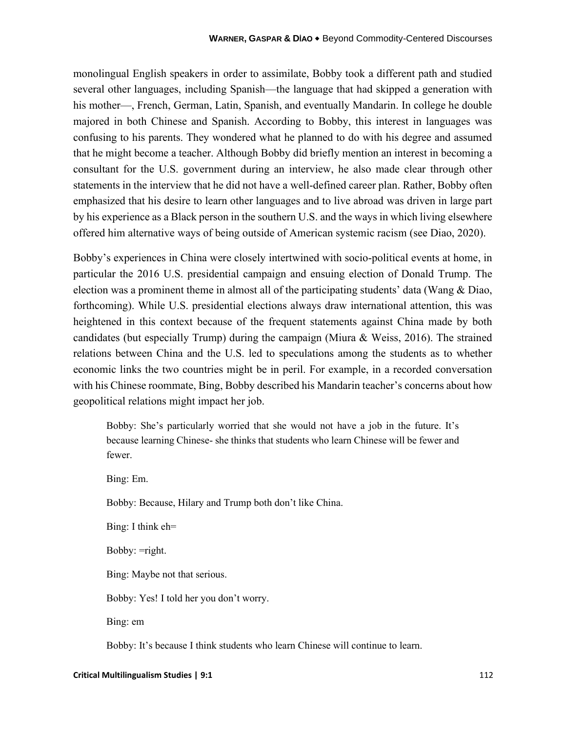monolingual English speakers in order to assimilate, Bobby took a different path and studied several other languages, including Spanish—the language that had skipped a generation with his mother—, French, German, Latin, Spanish, and eventually Mandarin. In college he double majored in both Chinese and Spanish. According to Bobby, this interest in languages was confusing to his parents. They wondered what he planned to do with his degree and assumed that he might become a teacher. Although Bobby did briefly mention an interest in becoming a consultant for the U.S. government during an interview, he also made clear through other statements in the interview that he did not have a well-defined career plan. Rather, Bobby often emphasized that his desire to learn other languages and to live abroad was driven in large part by his experience as a Black person in the southern U.S. and the ways in which living elsewhere offered him alternative ways of being outside of American systemic racism (see Diao, 2020).

Bobby's experiences in China were closely intertwined with socio-political events at home, in particular the 2016 U.S. presidential campaign and ensuing election of Donald Trump. The election was a prominent theme in almost all of the participating students' data (Wang & Diao, forthcoming). While U.S. presidential elections always draw international attention, this was heightened in this context because of the frequent statements against China made by both candidates (but especially Trump) during the campaign (Miura & Weiss, 2016). The strained relations between China and the U.S. led to speculations among the students as to whether economic links the two countries might be in peril. For example, in a recorded conversation with his Chinese roommate, Bing, Bobby described his Mandarin teacher's concerns about how geopolitical relations might impact her job.

Bobby: She's particularly worried that she would not have a job in the future. It's because learning Chinese- she thinks that students who learn Chinese will be fewer and fewer.

Bing: Em. Bobby: Because, Hilary and Trump both don't like China. Bing: I think eh= Bobby: =right. Bing: Maybe not that serious. Bobby: Yes! I told her you don't worry. Bing: em

Bobby: It's because I think students who learn Chinese will continue to learn.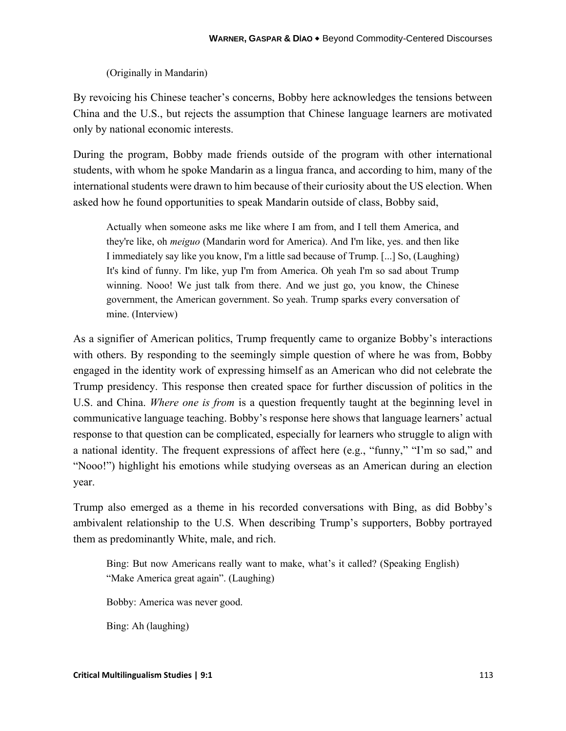## (Originally in Mandarin)

By revoicing his Chinese teacher's concerns, Bobby here acknowledges the tensions between China and the U.S., but rejects the assumption that Chinese language learners are motivated only by national economic interests.

During the program, Bobby made friends outside of the program with other international students, with whom he spoke Mandarin as a lingua franca, and according to him, many of the international students were drawn to him because of their curiosity about the US election. When asked how he found opportunities to speak Mandarin outside of class, Bobby said,

Actually when someone asks me like where I am from, and I tell them America, and they're like, oh *meiguo* (Mandarin word for America). And I'm like, yes. and then like I immediately say like you know, I'm a little sad because of Trump. [...] So, (Laughing) It's kind of funny. I'm like, yup I'm from America. Oh yeah I'm so sad about Trump winning. Nooo! We just talk from there. And we just go, you know, the Chinese government, the American government. So yeah. Trump sparks every conversation of mine. (Interview)

As a signifier of American politics, Trump frequently came to organize Bobby's interactions with others. By responding to the seemingly simple question of where he was from, Bobby engaged in the identity work of expressing himself as an American who did not celebrate the Trump presidency. This response then created space for further discussion of politics in the U.S. and China. *Where one is from* is a question frequently taught at the beginning level in communicative language teaching. Bobby's response here shows that language learners' actual response to that question can be complicated, especially for learners who struggle to align with a national identity. The frequent expressions of affect here (e.g., "funny," "I'm so sad," and "Nooo!") highlight his emotions while studying overseas as an American during an election year.

Trump also emerged as a theme in his recorded conversations with Bing, as did Bobby's ambivalent relationship to the U.S. When describing Trump's supporters, Bobby portrayed them as predominantly White, male, and rich.

Bing: But now Americans really want to make, what's it called? (Speaking English) "Make America great again". (Laughing)

Bobby: America was never good.

Bing: Ah (laughing)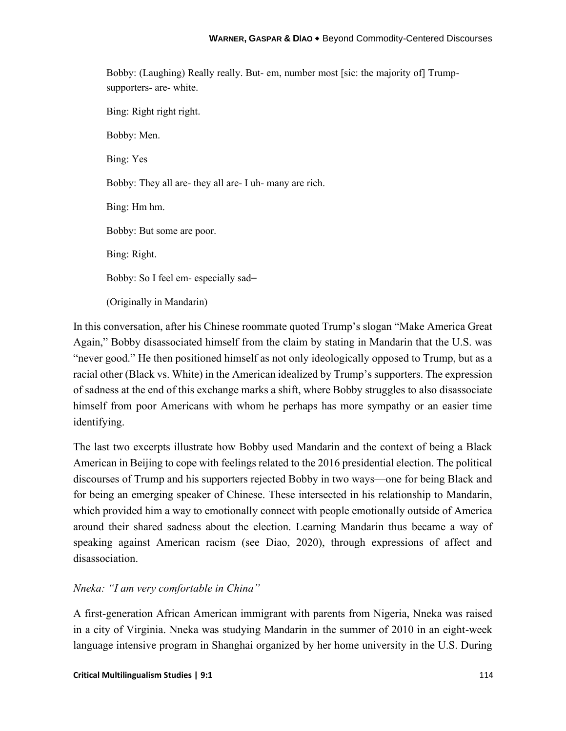Bobby: (Laughing) Really really. But- em, number most [sic: the majority of] Trumpsupporters- are- white.

Bing: Right right right. Bobby: Men. Bing: Yes Bobby: They all are- they all are- I uh- many are rich. Bing: Hm hm. Bobby: But some are poor. Bing: Right. Bobby: So I feel em- especially sad= (Originally in Mandarin)

In this conversation, after his Chinese roommate quoted Trump's slogan "Make America Great Again," Bobby disassociated himself from the claim by stating in Mandarin that the U.S. was "never good." He then positioned himself as not only ideologically opposed to Trump, but as a racial other (Black vs. White) in the American idealized by Trump's supporters. The expression of sadness at the end of this exchange marks a shift, where Bobby struggles to also disassociate himself from poor Americans with whom he perhaps has more sympathy or an easier time identifying.

The last two excerpts illustrate how Bobby used Mandarin and the context of being a Black American in Beijing to cope with feelings related to the 2016 presidential election. The political discourses of Trump and his supporters rejected Bobby in two ways—one for being Black and for being an emerging speaker of Chinese. These intersected in his relationship to Mandarin, which provided him a way to emotionally connect with people emotionally outside of America around their shared sadness about the election. Learning Mandarin thus became a way of speaking against American racism (see Diao, 2020), through expressions of affect and disassociation.

## *Nneka: "I am very comfortable in China"*

A first-generation African American immigrant with parents from Nigeria, Nneka was raised in a city of Virginia. Nneka was studying Mandarin in the summer of 2010 in an eight-week language intensive program in Shanghai organized by her home university in the U.S. During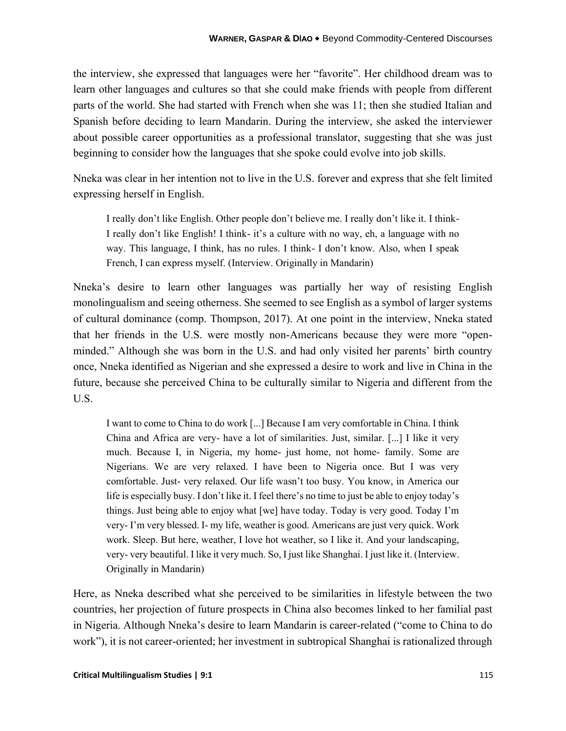the interview, she expressed that languages were her "favorite". Her childhood dream was to learn other languages and cultures so that she could make friends with people from different parts of the world. She had started with French when she was 11; then she studied Italian and Spanish before deciding to learn Mandarin. During the interview, she asked the interviewer about possible career opportunities as a professional translator, suggesting that she was just beginning to consider how the languages that she spoke could evolve into job skills.

Nneka was clear in her intention not to live in the U.S. forever and express that she felt limited expressing herself in English.

I really don't like English. Other people don't believe me. I really don't like it. I think-I really don't like English! I think- it's a culture with no way, eh, a language with no way. This language, I think, has no rules. I think- I don't know. Also, when I speak French, I can express myself. (Interview. Originally in Mandarin)

Nneka's desire to learn other languages was partially her way of resisting English monolingualism and seeing otherness. She seemed to see English as a symbol of larger systems of cultural dominance (comp. Thompson, 2017). At one point in the interview, Nneka stated that her friends in the U.S. were mostly non-Americans because they were more "openminded." Although she was born in the U.S. and had only visited her parents' birth country once, Nneka identified as Nigerian and she expressed a desire to work and live in China in the future, because she perceived China to be culturally similar to Nigeria and different from the U.S.

I want to come to China to do work [...] Because I am very comfortable in China. I think China and Africa are very- have a lot of similarities. Just, similar. [...] I like it very much. Because I, in Nigeria, my home- just home, not home- family. Some are Nigerians. We are very relaxed. I have been to Nigeria once. But I was very comfortable. Just- very relaxed. Our life wasn't too busy. You know, in America our life is especially busy. I don't like it. I feel there's no time to just be able to enjoy today's things. Just being able to enjoy what [we] have today. Today is very good. Today I'm very- I'm very blessed. I- my life, weather is good. Americans are just very quick. Work work. Sleep. But here, weather, I love hot weather, so I like it. And your landscaping, very- very beautiful. I like it very much. So, I just like Shanghai. I just like it. (Interview. Originally in Mandarin)

Here, as Nneka described what she perceived to be similarities in lifestyle between the two countries, her projection of future prospects in China also becomes linked to her familial past in Nigeria. Although Nneka's desire to learn Mandarin is career-related ("come to China to do work"), it is not career-oriented; her investment in subtropical Shanghai is rationalized through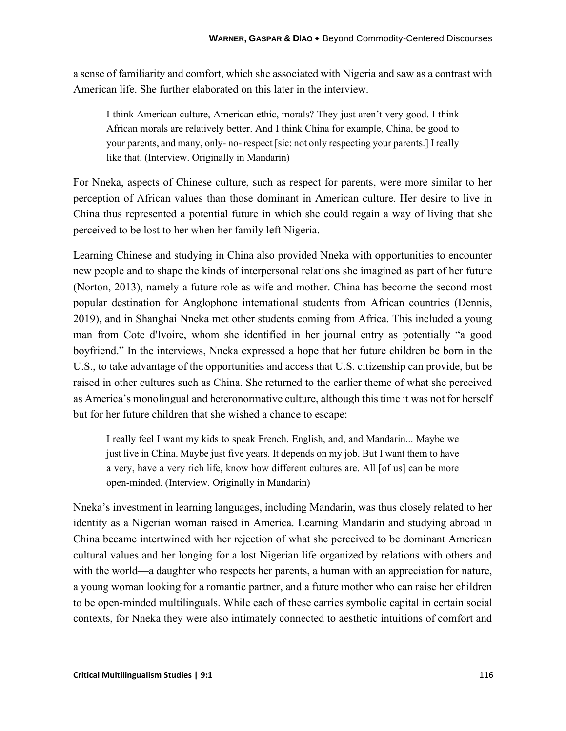a sense of familiarity and comfort, which she associated with Nigeria and saw as a contrast with American life. She further elaborated on this later in the interview.

I think American culture, American ethic, morals? They just aren't very good. I think African morals are relatively better. And I think China for example, China, be good to your parents, and many, only- no- respect [sic: not only respecting your parents.] I really like that. (Interview. Originally in Mandarin)

For Nneka, aspects of Chinese culture, such as respect for parents, were more similar to her perception of African values than those dominant in American culture. Her desire to live in China thus represented a potential future in which she could regain a way of living that she perceived to be lost to her when her family left Nigeria.

Learning Chinese and studying in China also provided Nneka with opportunities to encounter new people and to shape the kinds of interpersonal relations she imagined as part of her future (Norton, 2013), namely a future role as wife and mother. China has become the second most popular destination for Anglophone international students from African countries (Dennis, 2019), and in Shanghai Nneka met other students coming from Africa. This included a young man from Cote d'Ivoire, whom she identified in her journal entry as potentially "a good boyfriend." In the interviews, Nneka expressed a hope that her future children be born in the U.S., to take advantage of the opportunities and access that U.S. citizenship can provide, but be raised in other cultures such as China. She returned to the earlier theme of what she perceived as America's monolingual and heteronormative culture, although this time it was not for herself but for her future children that she wished a chance to escape:

I really feel I want my kids to speak French, English, and, and Mandarin... Maybe we just live in China. Maybe just five years. It depends on my job. But I want them to have a very, have a very rich life, know how different cultures are. All [of us] can be more open-minded. (Interview. Originally in Mandarin)

Nneka's investment in learning languages, including Mandarin, was thus closely related to her identity as a Nigerian woman raised in America. Learning Mandarin and studying abroad in China became intertwined with her rejection of what she perceived to be dominant American cultural values and her longing for a lost Nigerian life organized by relations with others and with the world—a daughter who respects her parents, a human with an appreciation for nature, a young woman looking for a romantic partner, and a future mother who can raise her children to be open-minded multilinguals. While each of these carries symbolic capital in certain social contexts, for Nneka they were also intimately connected to aesthetic intuitions of comfort and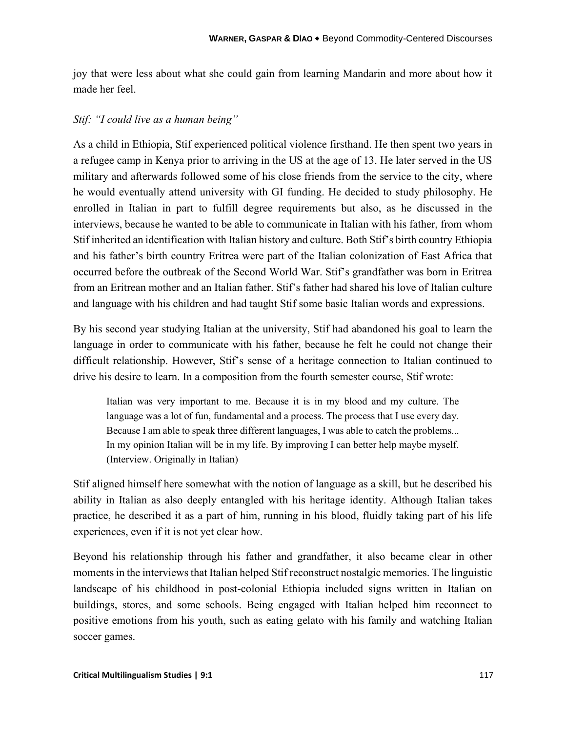joy that were less about what she could gain from learning Mandarin and more about how it made her feel.

#### *Stif: "I could live as a human being"*

As a child in Ethiopia, Stif experienced political violence firsthand. He then spent two years in a refugee camp in Kenya prior to arriving in the US at the age of 13. He later served in the US military and afterwards followed some of his close friends from the service to the city, where he would eventually attend university with GI funding. He decided to study philosophy. He enrolled in Italian in part to fulfill degree requirements but also, as he discussed in the interviews, because he wanted to be able to communicate in Italian with his father, from whom Stif inherited an identification with Italian history and culture. Both Stif's birth country Ethiopia and his father's birth country Eritrea were part of the Italian colonization of East Africa that occurred before the outbreak of the Second World War. Stif's grandfather was born in Eritrea from an Eritrean mother and an Italian father. Stif's father had shared his love of Italian culture and language with his children and had taught Stif some basic Italian words and expressions.

By his second year studying Italian at the university, Stif had abandoned his goal to learn the language in order to communicate with his father, because he felt he could not change their difficult relationship. However, Stif's sense of a heritage connection to Italian continued to drive his desire to learn. In a composition from the fourth semester course, Stif wrote:

Italian was very important to me. Because it is in my blood and my culture. The language was a lot of fun, fundamental and a process. The process that I use every day. Because I am able to speak three different languages, I was able to catch the problems... In my opinion Italian will be in my life. By improving I can better help maybe myself. (Interview. Originally in Italian)

Stif aligned himself here somewhat with the notion of language as a skill, but he described his ability in Italian as also deeply entangled with his heritage identity. Although Italian takes practice, he described it as a part of him, running in his blood, fluidly taking part of his life experiences, even if it is not yet clear how.

Beyond his relationship through his father and grandfather, it also became clear in other moments in the interviews that Italian helped Stif reconstruct nostalgic memories. The linguistic landscape of his childhood in post-colonial Ethiopia included signs written in Italian on buildings, stores, and some schools. Being engaged with Italian helped him reconnect to positive emotions from his youth, such as eating gelato with his family and watching Italian soccer games.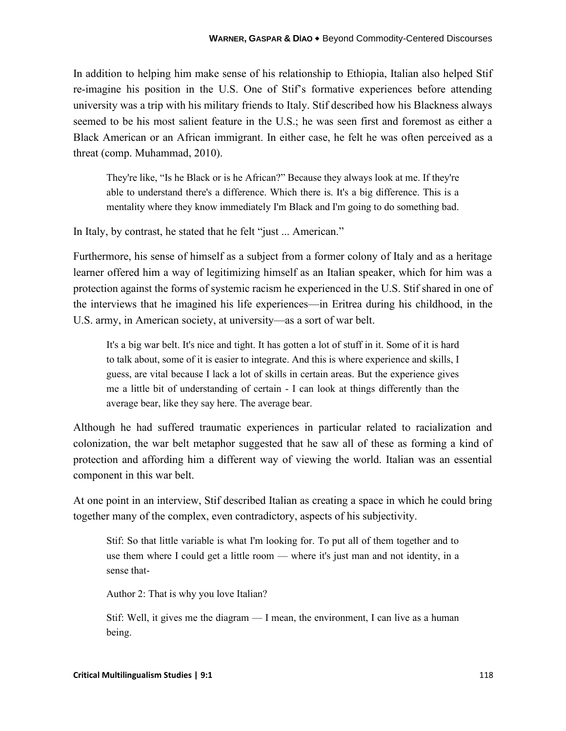In addition to helping him make sense of his relationship to Ethiopia, Italian also helped Stif re-imagine his position in the U.S. One of Stif's formative experiences before attending university was a trip with his military friends to Italy. Stif described how his Blackness always seemed to be his most salient feature in the U.S.; he was seen first and foremost as either a Black American or an African immigrant. In either case, he felt he was often perceived as a threat (comp. Muhammad, 2010).

They're like, "Is he Black or is he African?" Because they always look at me. If they're able to understand there's a difference. Which there is. It's a big difference. This is a mentality where they know immediately I'm Black and I'm going to do something bad.

In Italy, by contrast, he stated that he felt "just ... American."

Furthermore, his sense of himself as a subject from a former colony of Italy and as a heritage learner offered him a way of legitimizing himself as an Italian speaker, which for him was a protection against the forms of systemic racism he experienced in the U.S. Stif shared in one of the interviews that he imagined his life experiences—in Eritrea during his childhood, in the U.S. army, in American society, at university—as a sort of war belt.

It's a big war belt. It's nice and tight. It has gotten a lot of stuff in it. Some of it is hard to talk about, some of it is easier to integrate. And this is where experience and skills, I guess, are vital because I lack a lot of skills in certain areas. But the experience gives me a little bit of understanding of certain - I can look at things differently than the average bear, like they say here. The average bear.

Although he had suffered traumatic experiences in particular related to racialization and colonization, the war belt metaphor suggested that he saw all of these as forming a kind of protection and affording him a different way of viewing the world. Italian was an essential component in this war belt.

At one point in an interview, Stif described Italian as creating a space in which he could bring together many of the complex, even contradictory, aspects of his subjectivity.

Stif: So that little variable is what I'm looking for. To put all of them together and to use them where I could get a little room — where it's just man and not identity, in a sense that-

Author 2: That is why you love Italian?

Stif: Well, it gives me the diagram — I mean, the environment, I can live as a human being.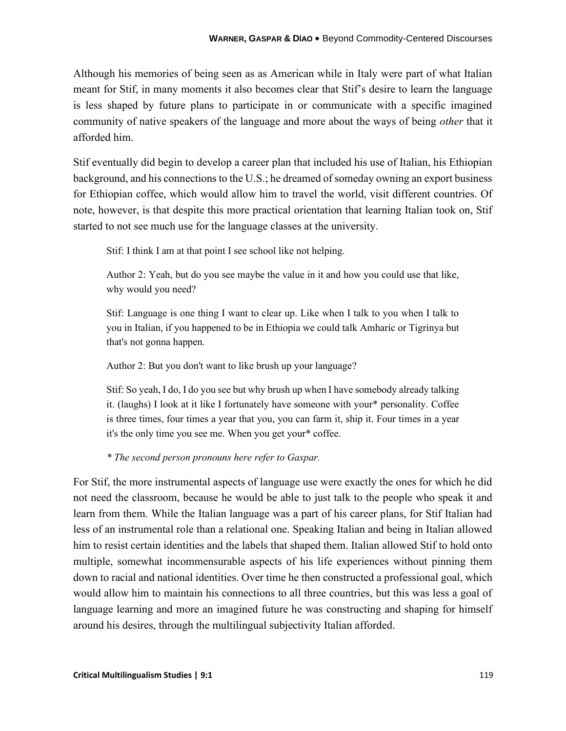Although his memories of being seen as as American while in Italy were part of what Italian meant for Stif, in many moments it also becomes clear that Stif's desire to learn the language is less shaped by future plans to participate in or communicate with a specific imagined community of native speakers of the language and more about the ways of being *other* that it afforded him.

Stif eventually did begin to develop a career plan that included his use of Italian, his Ethiopian background, and his connections to the U.S.; he dreamed of someday owning an export business for Ethiopian coffee, which would allow him to travel the world, visit different countries. Of note, however, is that despite this more practical orientation that learning Italian took on, Stif started to not see much use for the language classes at the university.

Stif: I think I am at that point I see school like not helping.

Author 2: Yeah, but do you see maybe the value in it and how you could use that like, why would you need?

Stif: Language is one thing I want to clear up. Like when I talk to you when I talk to you in Italian, if you happened to be in Ethiopia we could talk Amharic or Tigrinya but that's not gonna happen.

Author 2: But you don't want to like brush up your language?

Stif: So yeah, I do, I do you see but why brush up when I have somebody already talking it. (laughs) I look at it like I fortunately have someone with your\* personality. Coffee is three times, four times a year that you, you can farm it, ship it. Four times in a year it's the only time you see me. When you get your\* coffee.

*\* The second person pronouns here refer to Gaspar.*

For Stif, the more instrumental aspects of language use were exactly the ones for which he did not need the classroom, because he would be able to just talk to the people who speak it and learn from them. While the Italian language was a part of his career plans, for Stif Italian had less of an instrumental role than a relational one. Speaking Italian and being in Italian allowed him to resist certain identities and the labels that shaped them. Italian allowed Stif to hold onto multiple, somewhat incommensurable aspects of his life experiences without pinning them down to racial and national identities. Over time he then constructed a professional goal, which would allow him to maintain his connections to all three countries, but this was less a goal of language learning and more an imagined future he was constructing and shaping for himself around his desires, through the multilingual subjectivity Italian afforded.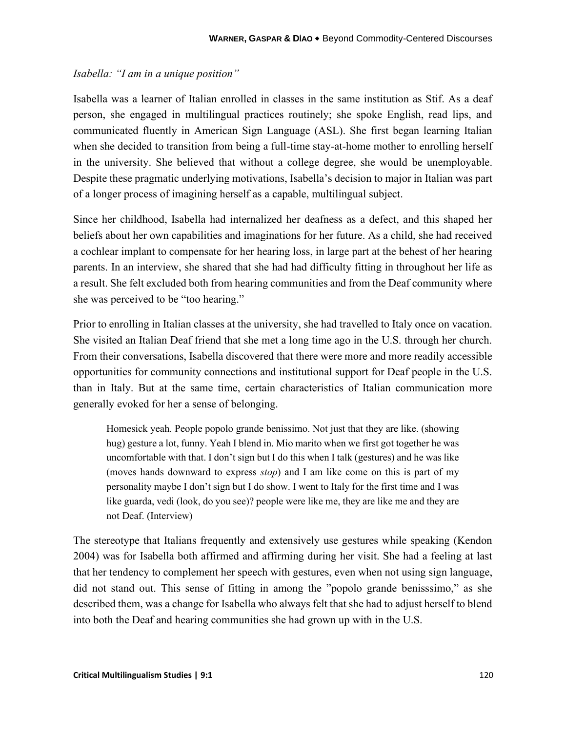#### *Isabella: "I am in a unique position"*

Isabella was a learner of Italian enrolled in classes in the same institution as Stif. As a deaf person, she engaged in multilingual practices routinely; she spoke English, read lips, and communicated fluently in American Sign Language (ASL). She first began learning Italian when she decided to transition from being a full-time stay-at-home mother to enrolling herself in the university. She believed that without a college degree, she would be unemployable. Despite these pragmatic underlying motivations, Isabella's decision to major in Italian was part of a longer process of imagining herself as a capable, multilingual subject.

Since her childhood, Isabella had internalized her deafness as a defect, and this shaped her beliefs about her own capabilities and imaginations for her future. As a child, she had received a cochlear implant to compensate for her hearing loss, in large part at the behest of her hearing parents. In an interview, she shared that she had had difficulty fitting in throughout her life as a result. She felt excluded both from hearing communities and from the Deaf community where she was perceived to be "too hearing."

Prior to enrolling in Italian classes at the university, she had travelled to Italy once on vacation. She visited an Italian Deaf friend that she met a long time ago in the U.S. through her church. From their conversations, Isabella discovered that there were more and more readily accessible opportunities for community connections and institutional support for Deaf people in the U.S. than in Italy. But at the same time, certain characteristics of Italian communication more generally evoked for her a sense of belonging.

Homesick yeah. People popolo grande benissimo. Not just that they are like. (showing hug) gesture a lot, funny. Yeah I blend in. Mio marito when we first got together he was uncomfortable with that. I don't sign but I do this when I talk (gestures) and he was like (moves hands downward to express *stop*) and I am like come on this is part of my personality maybe I don't sign but I do show. I went to Italy for the first time and I was like guarda, vedi (look, do you see)? people were like me, they are like me and they are not Deaf. (Interview)

The stereotype that Italians frequently and extensively use gestures while speaking (Kendon 2004) was for Isabella both affirmed and affirming during her visit. She had a feeling at last that her tendency to complement her speech with gestures, even when not using sign language, did not stand out. This sense of fitting in among the "popolo grande benisssimo," as she described them, was a change for Isabella who always felt that she had to adjust herself to blend into both the Deaf and hearing communities she had grown up with in the U.S.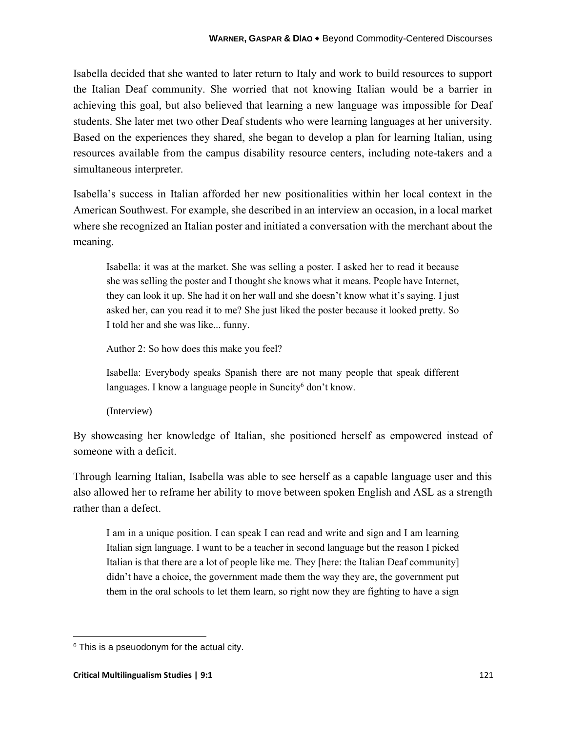Isabella decided that she wanted to later return to Italy and work to build resources to support the Italian Deaf community. She worried that not knowing Italian would be a barrier in achieving this goal, but also believed that learning a new language was impossible for Deaf students. She later met two other Deaf students who were learning languages at her university. Based on the experiences they shared, she began to develop a plan for learning Italian, using resources available from the campus disability resource centers, including note-takers and a simultaneous interpreter.

Isabella's success in Italian afforded her new positionalities within her local context in the American Southwest. For example, she described in an interview an occasion, in a local market where she recognized an Italian poster and initiated a conversation with the merchant about the meaning.

Isabella: it was at the market. She was selling a poster. I asked her to read it because she was selling the poster and I thought she knows what it means. People have Internet, they can look it up. She had it on her wall and she doesn't know what it's saying. I just asked her, can you read it to me? She just liked the poster because it looked pretty. So I told her and she was like... funny.

Author 2: So how does this make you feel?

Isabella: Everybody speaks Spanish there are not many people that speak different languages. I know a language people in Suncity $6$  don't know.

(Interview)

By showcasing her knowledge of Italian, she positioned herself as empowered instead of someone with a deficit.

Through learning Italian, Isabella was able to see herself as a capable language user and this also allowed her to reframe her ability to move between spoken English and ASL as a strength rather than a defect.

I am in a unique position. I can speak I can read and write and sign and I am learning Italian sign language. I want to be a teacher in second language but the reason I picked Italian is that there are a lot of people like me. They [here: the Italian Deaf community] didn't have a choice, the government made them the way they are, the government put them in the oral schools to let them learn, so right now they are fighting to have a sign

 $6$  This is a pseuodonym for the actual city.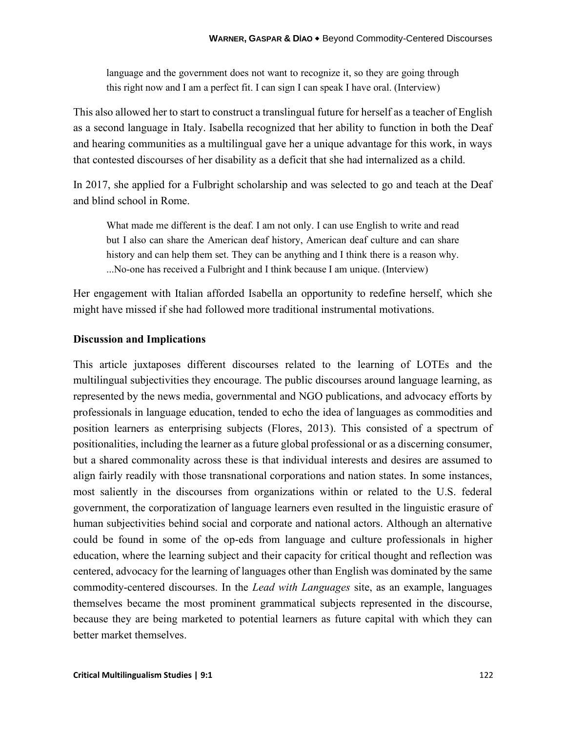language and the government does not want to recognize it, so they are going through this right now and I am a perfect fit. I can sign I can speak I have oral. (Interview)

This also allowed her to start to construct a translingual future for herself as a teacher of English as a second language in Italy. Isabella recognized that her ability to function in both the Deaf and hearing communities as a multilingual gave her a unique advantage for this work, in ways that contested discourses of her disability as a deficit that she had internalized as a child.

In 2017, she applied for a Fulbright scholarship and was selected to go and teach at the Deaf and blind school in Rome.

What made me different is the deaf. I am not only. I can use English to write and read but I also can share the American deaf history, American deaf culture and can share history and can help them set. They can be anything and I think there is a reason why. ...No-one has received a Fulbright and I think because I am unique. (Interview)

Her engagement with Italian afforded Isabella an opportunity to redefine herself, which she might have missed if she had followed more traditional instrumental motivations.

#### **Discussion and Implications**

This article juxtaposes different discourses related to the learning of LOTEs and the multilingual subjectivities they encourage. The public discourses around language learning, as represented by the news media, governmental and NGO publications, and advocacy efforts by professionals in language education, tended to echo the idea of languages as commodities and position learners as enterprising subjects (Flores, 2013). This consisted of a spectrum of positionalities, including the learner as a future global professional or as a discerning consumer, but a shared commonality across these is that individual interests and desires are assumed to align fairly readily with those transnational corporations and nation states. In some instances, most saliently in the discourses from organizations within or related to the U.S. federal government, the corporatization of language learners even resulted in the linguistic erasure of human subjectivities behind social and corporate and national actors. Although an alternative could be found in some of the op-eds from language and culture professionals in higher education, where the learning subject and their capacity for critical thought and reflection was centered, advocacy for the learning of languages other than English was dominated by the same commodity-centered discourses. In the *Lead with Languages* site, as an example, languages themselves became the most prominent grammatical subjects represented in the discourse, because they are being marketed to potential learners as future capital with which they can better market themselves.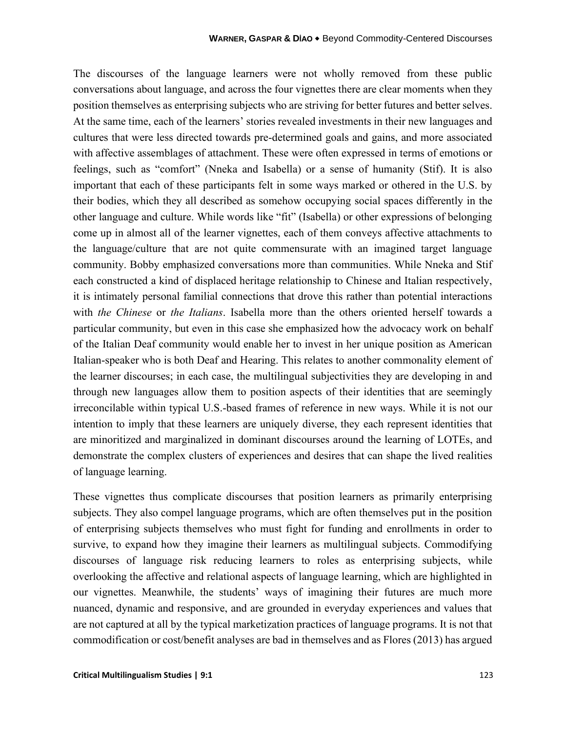The discourses of the language learners were not wholly removed from these public conversations about language, and across the four vignettes there are clear moments when they position themselves as enterprising subjects who are striving for better futures and better selves. At the same time, each of the learners' stories revealed investments in their new languages and cultures that were less directed towards pre-determined goals and gains, and more associated with affective assemblages of attachment. These were often expressed in terms of emotions or feelings, such as "comfort" (Nneka and Isabella) or a sense of humanity (Stif). It is also important that each of these participants felt in some ways marked or othered in the U.S. by their bodies, which they all described as somehow occupying social spaces differently in the other language and culture. While words like "fit" (Isabella) or other expressions of belonging come up in almost all of the learner vignettes, each of them conveys affective attachments to the language/culture that are not quite commensurate with an imagined target language community. Bobby emphasized conversations more than communities. While Nneka and Stif each constructed a kind of displaced heritage relationship to Chinese and Italian respectively, it is intimately personal familial connections that drove this rather than potential interactions with *the Chinese* or *the Italians*. Isabella more than the others oriented herself towards a particular community, but even in this case she emphasized how the advocacy work on behalf of the Italian Deaf community would enable her to invest in her unique position as American Italian-speaker who is both Deaf and Hearing. This relates to another commonality element of the learner discourses; in each case, the multilingual subjectivities they are developing in and through new languages allow them to position aspects of their identities that are seemingly irreconcilable within typical U.S.-based frames of reference in new ways. While it is not our intention to imply that these learners are uniquely diverse, they each represent identities that are minoritized and marginalized in dominant discourses around the learning of LOTEs, and demonstrate the complex clusters of experiences and desires that can shape the lived realities of language learning.

These vignettes thus complicate discourses that position learners as primarily enterprising subjects. They also compel language programs, which are often themselves put in the position of enterprising subjects themselves who must fight for funding and enrollments in order to survive, to expand how they imagine their learners as multilingual subjects. Commodifying discourses of language risk reducing learners to roles as enterprising subjects, while overlooking the affective and relational aspects of language learning, which are highlighted in our vignettes. Meanwhile, the students' ways of imagining their futures are much more nuanced, dynamic and responsive, and are grounded in everyday experiences and values that are not captured at all by the typical marketization practices of language programs. It is not that commodification or cost/benefit analyses are bad in themselves and as Flores (2013) has argued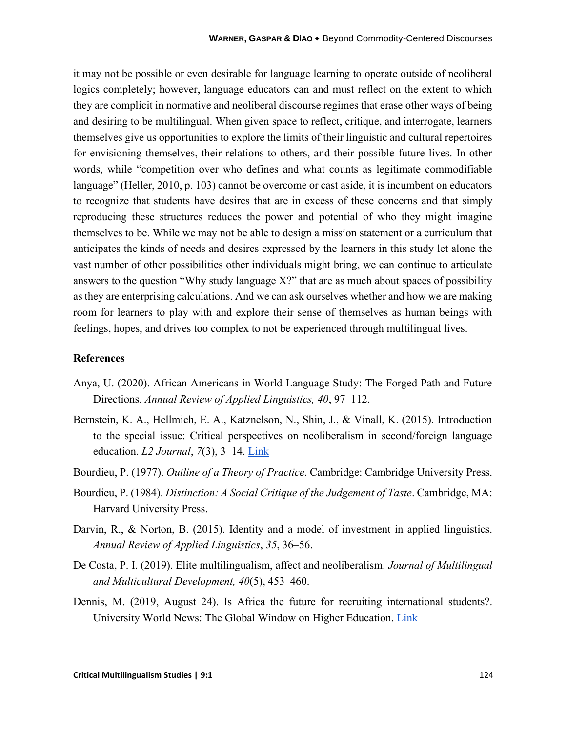it may not be possible or even desirable for language learning to operate outside of neoliberal logics completely; however, language educators can and must reflect on the extent to which they are complicit in normative and neoliberal discourse regimes that erase other ways of being and desiring to be multilingual. When given space to reflect, critique, and interrogate, learners themselves give us opportunities to explore the limits of their linguistic and cultural repertoires for envisioning themselves, their relations to others, and their possible future lives. In other words, while "competition over who defines and what counts as legitimate commodifiable language" (Heller, 2010, p. 103) cannot be overcome or cast aside, it is incumbent on educators to recognize that students have desires that are in excess of these concerns and that simply reproducing these structures reduces the power and potential of who they might imagine themselves to be. While we may not be able to design a mission statement or a curriculum that anticipates the kinds of needs and desires expressed by the learners in this study let alone the vast number of other possibilities other individuals might bring, we can continue to articulate answers to the question "Why study language X?" that are as much about spaces of possibility as they are enterprising calculations. And we can ask ourselves whether and how we are making room for learners to play with and explore their sense of themselves as human beings with feelings, hopes, and drives too complex to not be experienced through multilingual lives.

#### **References**

- Anya, U. (2020). African Americans in World Language Study: The Forged Path and Future Directions. *Annual Review of Applied Linguistics, 40*, 97–112.
- Bernstein, K. A., Hellmich, E. A., Katznelson, N., Shin, J., & Vinall, K. (2015). Introduction to the special issue: Critical perspectives on neoliberalism in second/foreign language education. *L2 Journal*, *7*(3), 3–14. [Link](https://escholarship.org/content/qt9xp597qb/qt9xp597qb.pdf)
- Bourdieu, P. (1977). *Outline of a Theory of Practice*. Cambridge: Cambridge University Press.
- Bourdieu, P. (1984). *Distinction: A Social Critique of the Judgement of Taste*. Cambridge, MA: Harvard University Press.
- Darvin, R., & Norton, B. (2015). Identity and a model of investment in applied linguistics. *Annual Review of Applied Linguistics*, *35*, 36–56.
- De Costa, P. I. (2019). Elite multilingualism, affect and neoliberalism. *Journal of Multilingual and Multicultural Development, 40*(5), 453–460.
- Dennis, M. (2019, August 24). Is Africa the future for recruiting international students?. University World News: The Global Window on Higher Education. [Link](https://www.universityworldnews.com/post.php?story=20190816144515896)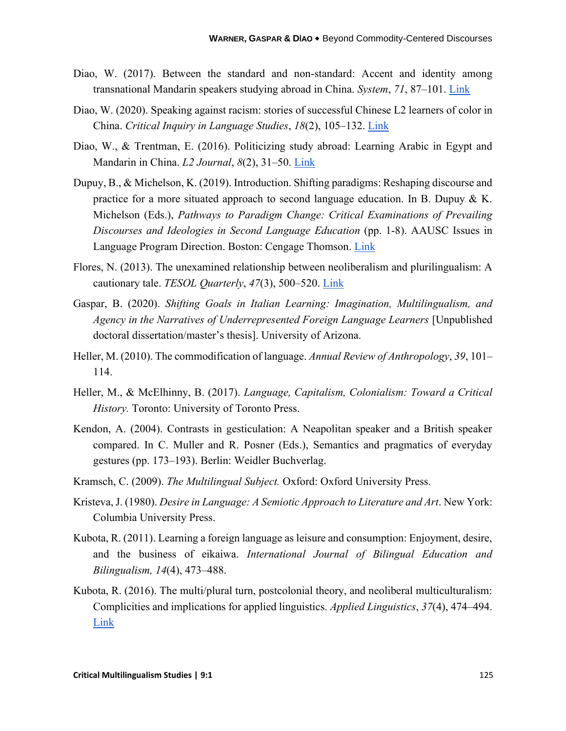- Diao, W. (2017). Between the standard and non-standard: Accent and identity among transnational Mandarin speakers studying abroad in China. *System*, *71*, 87–101. [Link](https://d1wqtxts1xzle7.cloudfront.net/56697348/Diao_2017_System.pdf?1527750426=&response-content-disposition=inline%3B+filename%3DBetween_the_standard_and_non_standard_Ac.pdf&Expires=1618065711&Signature=JXAOkmAFk-lC1ZgpbvCzAnDOC6wViv3tLvBtODOGcKzaji3YAUkmNi2XIdDW6lkxAYzvUo868~-9zltewyDf8sv-iYCUkl2DR4nnkIBXPmSau3wVrQt5y-6VdYLttJPmZIq0rl3cJFr3MNTWq1g9ErrUOs7ftArZHE7EJj7-9W8hnFAkok16-cMHlQLsX0rv8xBhZdu6vDTXPxI3RBSthMVjeD5Wjmsm-bbnTDK6dsb6IjgHHCLMppIxqX6ocAHrFcRI30jbDZEpAlpYCkX6mYUAOoQWq9mTx3I4jTn-WQfAPfLgt-ll9RVKus9bxkKCxk-qo7KcEC15TCQU-Xqkqw__&Key-Pair-Id=APKAJLOHF5GGSLRBV4ZA)
- Diao, W. (2020). Speaking against racism: stories of successful Chinese L2 learners of color in China. *Critical Inquiry in Language Studies*, *18*(2), 105–132. [Link](https://www.tandfonline.com/doi/abs/10.1080/15427587.2020.1764358)
- Diao, W., & Trentman, E. (2016). Politicizing study abroad: Learning Arabic in Egypt and Mandarin in China. *L2 Journal*, *8*(2), 31–50. [Link](https://escholarship.org/content/qt90g8r79m/qt90g8r79m.pdf)
- Dupuy, B., & Michelson, K. (2019). Introduction. Shifting paradigms: Reshaping discourse and practice for a more situated approach to second language education. In B. Dupuy & K. Michelson (Eds.), *Pathways to Paradigm Change: Critical Examinations of Prevailing Discourses and Ideologies in Second Language Education* (pp. 1-8). AAUSC Issues in Language Program Direction. Boston: Cengage Thomson. [Link](https://scholarspace.manoa.hawaii.edu/bitstream/10125/69789/2019_00.pdf)
- Flores, N. (2013). The unexamined relationship between neoliberalism and plurilingualism: A cautionary tale. *TESOL Quarterly*, *47*(3), 500–520. [Link](https://d1wqtxts1xzle7.cloudfront.net/32680711/%282013%29Neoliberalism_Plurilingualism.pdf?1388867070=&response-content-disposition=inline%3B+filename%3DThe_Unexamined_Relationship_between_Neol.pdf&Expires=1618065609&Signature=LY~ZI3B4NoouGvK3xYtSZN2fUy-EpDWw8ir2eXJ5BXCyMb-2ZVP-wrSAB2sixr7G2MUKJQ8pEyMUIcAJUWsGE8ih0mYtho9nkJ56anS1b3HjiITUE2xwXAODdheKzM7-FbkaBsEYegxbLhHJI3PWJ542OLbidtvqsXoY3ZE4wqEA7Ml2RTtattAuVY6MTNmYguscc6K~bmwt1H5TVD9bLnUowf6GwEfPJqm8nBEvHxk8TnQyThk~mPKW5MJER11hol36WxppDu8qvn2cjzi-YdlzKN9ov-IA0b16-fqXQgY2qepW7u~q0M6fy8isw5twFVn~DKUDbqhUfuMv0fcJTQ__&Key-Pair-Id=APKAJLOHF5GGSLRBV4ZA)
- Gaspar, B. (2020). *Shifting Goals in Italian Learning: Imagination, Multilingualism, and Agency in the Narratives of Underrepresented Foreign Language Learners* [Unpublished doctoral dissertation/master's thesis]. University of Arizona.
- Heller, M. (2010). The commodification of language. *Annual Review of Anthropology*, *39*, 101– 114.
- Heller, M., & McElhinny, B. (2017). *Language, Capitalism, Colonialism: Toward a Critical History.* Toronto: University of Toronto Press.
- Kendon, A. (2004). Contrasts in gesticulation: A Neapolitan speaker and a British speaker compared. In C. Muller and R. Posner (Eds.), Semantics and pragmatics of everyday gestures (pp. 173–193). Berlin: Weidler Buchverlag.
- Kramsch, C. (2009). *The Multilingual Subject.* Oxford: Oxford University Press.
- Kristeva, J. (1980). *Desire in Language: A Semiotic Approach to Literature and Art*. New York: Columbia University Press.
- Kubota, R. (2011). Learning a foreign language as leisure and consumption: Enjoyment, desire, and the business of eikaiwa. *International Journal of Bilingual Education and Bilingualism, 14*(4), 473–488.
- Kubota, R. (2016). The multi/plural turn, postcolonial theory, and neoliberal multiculturalism: Complicities and implications for applied linguistics. *Applied Linguistics*, *37*(4), 474–494. [Link](https://citeseerx.ist.psu.edu/viewdoc/download?doi=10.1.1.895.4087&rep=rep1&type=pdf)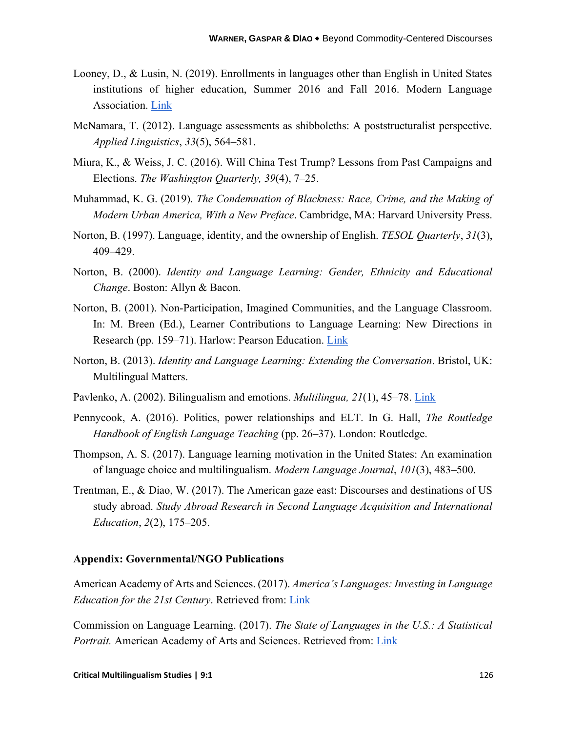- Looney, D., & Lusin, N. (2019). Enrollments in languages other than English in United States institutions of higher education, Summer 2016 and Fall 2016. Modern Language Association. [Link](https://files.eric.ed.gov/fulltext/ED599007.pdf)
- McNamara, T. (2012). Language assessments as shibboleths: A poststructuralist perspective. *Applied Linguistics*, *33*(5), 564–581.
- Miura, K., & Weiss, J. C. (2016). Will China Test Trump? Lessons from Past Campaigns and Elections. *The Washington Quarterly, 39*(4), 7–25.
- Muhammad, K. G. (2019). *The Condemnation of Blackness: Race, Crime, and the Making of Modern Urban America, With a New Preface*. Cambridge, MA: Harvard University Press.
- Norton, B. (1997). Language, identity, and the ownership of English. *TESOL Quarterly*, *31*(3), 409–429.
- Norton, B. (2000). *Identity and Language Learning: Gender, Ethnicity and Educational Change*. Boston: Allyn & Bacon.
- Norton, B. (2001). Non-Participation, Imagined Communities, and the Language Classroom. In: M. Breen (Ed.), Learner Contributions to Language Learning: New Directions in Research (pp. 159–71). Harlow: Pearson Education. [Link](https://d1wqtxts1xzle7.cloudfront.net/38764380/Breen_2001_-_Nonparticipation__imagined_communities__language_classroom.pdf?1442237547=&response-content-disposition=inline%3B+filename%3DNon_participation_imagined_communities_a.pdf&Expires=1618065103&Signature=F~U716CvdyHJUJLSivSQzP2G0fY3gYsPNW6l1Y0j6wLyxVPo0qXb6O7GWHVmve4UYTMm6zqCHwDQzFm6ExLESNb9jC3sw-t~e57jdleZQycygI1xUYrrPOIWZHxPd4afbUao-wsLqz8F9VgThtNzHUS0~G6GEP12EUVeFQ0uE5O~IpjcYAMmM5AeZIdVllNLHf0I9ODWB4pe0RRcnkJjDToxQo2JEzP-UNi6J-qdyxC9mlQ7HbRkp5KVC2cAi9YFtQ7XCTMEfAURFCp~IWDUi4mTxOb7mSr4ng0sdEt1umbnzZgMjbJmF9JRThofSQg0nMYVtR24Pqc19awwHFGgjQ__&Key-Pair-Id=APKAJLOHF5GGSLRBV4ZA)
- Norton, B. (2013). *Identity and Language Learning: Extending the Conversation*. Bristol, UK: Multilingual Matters.
- Pavlenko, A. (2002). Bilingualism and emotions. *Multilingua, 21*(1), 45–78. [Link](https://d1wqtxts1xzle7.cloudfront.net/41803111/Pavlenko_Multilingua_2002a.pdf?1454246264=&response-content-disposition=inline%3B+filename%3DBilingualism_and_emotions_2002.pdf&Expires=1618065044&Signature=F5l9Ut24REKhG9DwklGGtIPYhrdKH5Jst-3-iD7Kez7au-b27ytEpg7j7ziEomCpMaxLlM8O92ZkeYrxesciB9PJS7KOcK8dwn24RuJRhoEj8X4D1yiQrfRz3GYeOvREBs90Z~EighgVa1oNHbYwMk1hcorun1QGG55IlaaVRut56S4u23MSqdDah2fbW0UFNtPnSixwEKBcMDdpvsbF0CDkyCCLalCneMGjDX9D7UFL4DtcZfZKnu~tkUIXhn489tBP2lXdCOi8o9K5f83tg0NnZqRTWmE7aYLB7BENXCBoAos5H-OSNMs9vePA-FiKq3gCTUXdXyt9H1FzhhBxXA__&Key-Pair-Id=APKAJLOHF5GGSLRBV4ZA)
- Pennycook, A. (2016). Politics, power relationships and ELT. In G. Hall, *The Routledge Handbook of English Language Teaching* (pp. 26–37). London: Routledge.
- Thompson, A. S. (2017). Language learning motivation in the United States: An examination of language choice and multilingualism. *Modern Language Journal*, *101*(3), 483–500.
- Trentman, E., & Diao, W. (2017). The American gaze east: Discourses and destinations of US study abroad. *Study Abroad Research in Second Language Acquisition and International Education*, *2*(2), 175–205.

#### **Appendix: Governmental/NGO Publications**

American Academy of Arts and Sciences. (2017). *America's Languages: Investing in Language Education for the 21st Century*. Retrieved from: [Link](https://www.amacad.org/publication/americas-languages)

Commission on Language Learning. (2017). *The State of Languages in the U.S.: A Statistical Portrait.* American Academy of Arts and Sciences. Retrieved from: [Link](https://www.amacad.org/sites/default/files/publication/downloads/State-of-Languages-in-US.pdf)